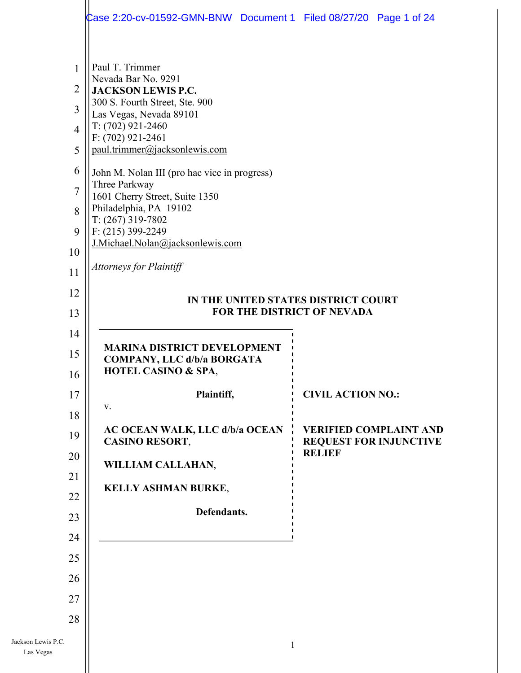|                                                                                              | Case 2:20-cv-01592-GMN-BNW Document 1 Filed 08/27/20 Page 1 of 24                                                                                                                                                                                                                                                                                                                                                                                              |   |                                                |  |
|----------------------------------------------------------------------------------------------|----------------------------------------------------------------------------------------------------------------------------------------------------------------------------------------------------------------------------------------------------------------------------------------------------------------------------------------------------------------------------------------------------------------------------------------------------------------|---|------------------------------------------------|--|
| 1<br>$\overline{2}$<br>3<br>$\overline{4}$<br>5<br>6<br>$\overline{7}$<br>8<br>9<br>10<br>11 | Paul T. Trimmer<br>Nevada Bar No. 9291<br><b>JACKSON LEWIS P.C.</b><br>300 S. Fourth Street, Ste. 900<br>Las Vegas, Nevada 89101<br>$T: (702)$ 921-2460<br>F: (702) 921-2461<br>paul.trimmer@jacksonlewis.com<br>John M. Nolan III (pro hac vice in progress)<br>Three Parkway<br>1601 Cherry Street, Suite 1350<br>Philadelphia, PA 19102<br>$T: (267)$ 319-7802<br>$F: (215)$ 399-2249<br>J.Michael.Nolan@jacksonlewis.com<br><b>Attorneys for Plaintiff</b> |   |                                                |  |
| 12<br>13                                                                                     | IN THE UNITED STATES DISTRICT COURT<br>FOR THE DISTRICT OF NEVADA                                                                                                                                                                                                                                                                                                                                                                                              |   |                                                |  |
| 14                                                                                           |                                                                                                                                                                                                                                                                                                                                                                                                                                                                |   |                                                |  |
| 15                                                                                           | <b>MARINA DISTRICT DEVELOPMENT</b><br><b>COMPANY, LLC d/b/a BORGATA</b>                                                                                                                                                                                                                                                                                                                                                                                        |   |                                                |  |
| 16                                                                                           | <b>HOTEL CASINO &amp; SPA,</b>                                                                                                                                                                                                                                                                                                                                                                                                                                 |   |                                                |  |
| 17                                                                                           | Plaintiff,<br>V.                                                                                                                                                                                                                                                                                                                                                                                                                                               |   | <b>CIVIL ACTION NO.:</b>                       |  |
| 18                                                                                           | <b>AC OCEAN WALK, LLC d/b/a OCEAN</b>                                                                                                                                                                                                                                                                                                                                                                                                                          |   | <b>VERIFIED COMPLAINT AND</b>                  |  |
| 19<br>20                                                                                     | <b>CASINO RESORT,</b>                                                                                                                                                                                                                                                                                                                                                                                                                                          |   | <b>REQUEST FOR INJUNCTIVE</b><br><b>RELIEF</b> |  |
| 21                                                                                           | WILLIAM CALLAHAN,                                                                                                                                                                                                                                                                                                                                                                                                                                              |   |                                                |  |
| 22                                                                                           | <b>KELLY ASHMAN BURKE,</b>                                                                                                                                                                                                                                                                                                                                                                                                                                     |   |                                                |  |
| 23                                                                                           | Defendants.                                                                                                                                                                                                                                                                                                                                                                                                                                                    |   |                                                |  |
| 24                                                                                           |                                                                                                                                                                                                                                                                                                                                                                                                                                                                |   |                                                |  |
| 25                                                                                           |                                                                                                                                                                                                                                                                                                                                                                                                                                                                |   |                                                |  |
| 26                                                                                           |                                                                                                                                                                                                                                                                                                                                                                                                                                                                |   |                                                |  |
| 27                                                                                           |                                                                                                                                                                                                                                                                                                                                                                                                                                                                |   |                                                |  |
| 28                                                                                           |                                                                                                                                                                                                                                                                                                                                                                                                                                                                |   |                                                |  |
| Jackson Lewis P.C.<br>Las Vegas                                                              |                                                                                                                                                                                                                                                                                                                                                                                                                                                                | 1 |                                                |  |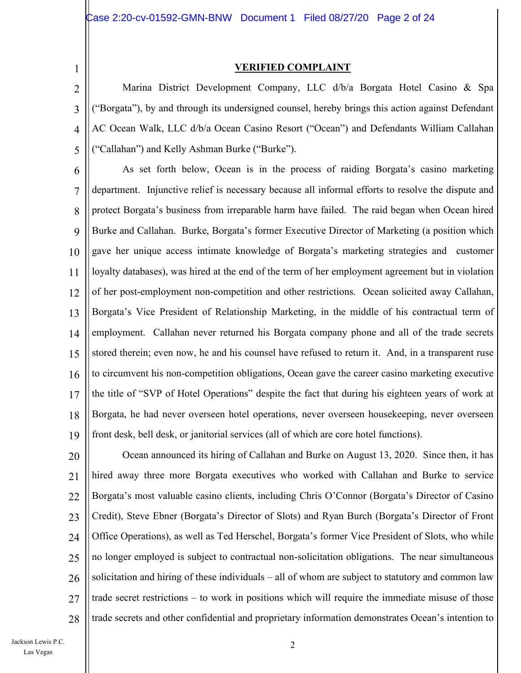1

#### **VERIFIED COMPLAINT**

2 3 4 5 Marina District Development Company, LLC d/b/a Borgata Hotel Casino & Spa ("Borgata"), by and through its undersigned counsel, hereby brings this action against Defendant AC Ocean Walk, LLC d/b/a Ocean Casino Resort ("Ocean") and Defendants William Callahan ("Callahan") and Kelly Ashman Burke ("Burke").

6 7 8  $\mathbf Q$ 10 11 12 13 14 15 16 17 18 19 As set forth below, Ocean is in the process of raiding Borgata's casino marketing department. Injunctive relief is necessary because all informal efforts to resolve the dispute and protect Borgata's business from irreparable harm have failed. The raid began when Ocean hired Burke and Callahan. Burke, Borgata's former Executive Director of Marketing (a position which gave her unique access intimate knowledge of Borgata's marketing strategies and customer loyalty databases), was hired at the end of the term of her employment agreement but in violation of her post-employment non-competition and other restrictions. Ocean solicited away Callahan, Borgata's Vice President of Relationship Marketing, in the middle of his contractual term of employment. Callahan never returned his Borgata company phone and all of the trade secrets stored therein; even now, he and his counsel have refused to return it. And, in a transparent ruse to circumvent his non-competition obligations, Ocean gave the career casino marketing executive the title of "SVP of Hotel Operations" despite the fact that during his eighteen years of work at Borgata, he had never overseen hotel operations, never overseen housekeeping, never overseen front desk, bell desk, or janitorial services (all of which are core hotel functions).

20 21 22 23 24 25 26 27 28 Ocean announced its hiring of Callahan and Burke on August 13, 2020. Since then, it has hired away three more Borgata executives who worked with Callahan and Burke to service Borgata's most valuable casino clients, including Chris O'Connor (Borgata's Director of Casino Credit), Steve Ebner (Borgata's Director of Slots) and Ryan Burch (Borgata's Director of Front Office Operations), as well as Ted Herschel, Borgata's former Vice President of Slots, who while no longer employed is subject to contractual non-solicitation obligations. The near simultaneous solicitation and hiring of these individuals – all of whom are subject to statutory and common law trade secret restrictions – to work in positions which will require the immediate misuse of those trade secrets and other confidential and proprietary information demonstrates Ocean's intention to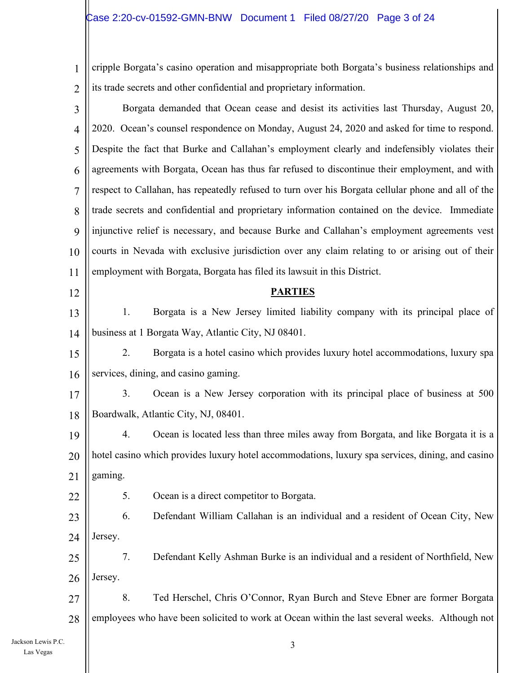### $\textcolor{red}{\zeta}$ ase 2:20-cv-01592-GMN-BNW Document 1 Filed 08/27/20 Page 3 of 24

1 2 | its trade secrets and other confidential and proprietary information. cripple Borgata's casino operation and misappropriate both Borgata's business relationships and

| 3              | Borgata demanded that Ocean cease and desist its activities last Thursday, August 20,              |
|----------------|----------------------------------------------------------------------------------------------------|
| $\overline{4}$ | 2020. Ocean's counsel respondence on Monday, August 24, 2020 and asked for time to respond.        |
| 5              | Despite the fact that Burke and Callahan's employment clearly and indefensibly violates their      |
| 6              | agreements with Borgata, Ocean has thus far refused to discontinue their employment, and with      |
| 7              | respect to Callahan, has repeatedly refused to turn over his Borgata cellular phone and all of the |
| 8              | trade secrets and confidential and proprietary information contained on the device. Immediate      |
| 9              | injunctive relief is necessary, and because Burke and Callahan's employment agreements vest        |
| 10             | courts in Nevada with exclusive jurisdiction over any claim relating to or arising out of their    |
| 11             | employment with Borgata, Borgata has filed its lawsuit in this District.                           |
| 12             | <b>PARTIES</b>                                                                                     |
| 13             | Borgata is a New Jersey limited liability company with its principal place of<br>1.                |
| 14             | business at 1 Borgata Way, Atlantic City, NJ 08401.                                                |
| 15             | 2.<br>Borgata is a hotel casino which provides luxury hotel accommodations, luxury spa             |
| 16             | services, dining, and casino gaming.                                                               |
| 17             | 3.<br>Ocean is a New Jersey corporation with its principal place of business at 500                |
| 18             | Boardwalk, Atlantic City, NJ, 08401.                                                               |
| 19             | Ocean is located less than three miles away from Borgata, and like Borgata it is a<br>4.           |
| 20             | hotel casino which provides luxury hotel accommodations, luxury spa services, dining, and casino   |
| 21             | gaming.                                                                                            |
| 22             | Ocean is a direct competitor to Borgata.<br>5.                                                     |
| 23             | 6.<br>Defendant William Callahan is an individual and a resident of Ocean City, New                |
| 24             | Jersey.                                                                                            |
| 25             | 7.<br>Defendant Kelly Ashman Burke is an individual and a resident of Northfield, New              |
| 26             | Jersey.                                                                                            |
| 27             | 8.<br>Ted Herschel, Chris O'Connor, Ryan Burch and Steve Ebner are former Borgata                  |
| 28             | employees who have been solicited to work at Ocean within the last several weeks. Although not     |
|                | 3                                                                                                  |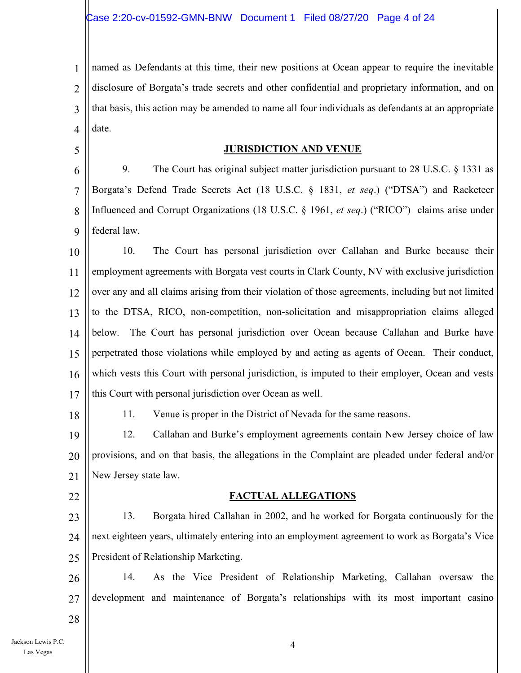1 2 3 4 named as Defendants at this time, their new positions at Ocean appear to require the inevitable disclosure of Borgata's trade secrets and other confidential and proprietary information, and on that basis, this action may be amended to name all four individuals as defendants at an appropriate date.

#### **JURISDICTION AND VENUE**

6 7 8  $\mathbf Q$ 9. The Court has original subject matter jurisdiction pursuant to 28 U.S.C. § 1331 as Borgata's Defend Trade Secrets Act (18 U.S.C. § 1831, *et seq*.) ("DTSA") and Racketeer Influenced and Corrupt Organizations (18 U.S.C. § 1961, *et seq*.) ("RICO") claims arise under federal law.

10 11 12 13 14 15 16 17 10. The Court has personal jurisdiction over Callahan and Burke because their employment agreements with Borgata vest courts in Clark County, NV with exclusive jurisdiction over any and all claims arising from their violation of those agreements, including but not limited to the DTSA, RICO, non-competition, non-solicitation and misappropriation claims alleged below. The Court has personal jurisdiction over Ocean because Callahan and Burke have perpetrated those violations while employed by and acting as agents of Ocean. Their conduct, which vests this Court with personal jurisdiction, is imputed to their employer, Ocean and vests this Court with personal jurisdiction over Ocean as well.

11. Venue is proper in the District of Nevada for the same reasons.

19 20 21 12. Callahan and Burke's employment agreements contain New Jersey choice of law provisions, and on that basis, the allegations in the Complaint are pleaded under federal and/or New Jersey state law.

22

28

18

5

#### **FACTUAL ALLEGATIONS**

23 24 25 13. Borgata hired Callahan in 2002, and he worked for Borgata continuously for the next eighteen years, ultimately entering into an employment agreement to work as Borgata's Vice President of Relationship Marketing.

26 27 14. As the Vice President of Relationship Marketing, Callahan oversaw the development and maintenance of Borgata's relationships with its most important casino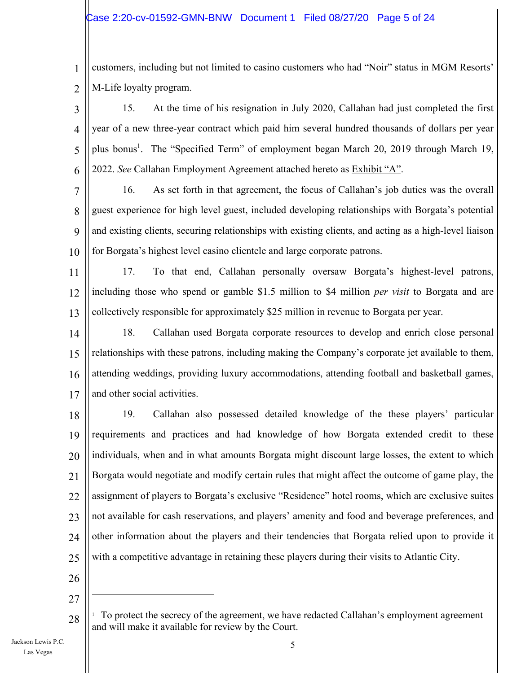1 2 customers, including but not limited to casino customers who had "Noir" status in MGM Resorts' M-Life loyalty program.

3 4 5 6 15. At the time of his resignation in July 2020, Callahan had just completed the first year of a new three-year contract which paid him several hundred thousands of dollars per year plus bonus<sup>1</sup>. The "Specified Term" of employment began March 20, 2019 through March 19, 2022. *See* Callahan Employment Agreement attached hereto as Exhibit "A".

7 8  $\mathbf Q$ 10 16. As set forth in that agreement, the focus of Callahan's job duties was the overall guest experience for high level guest, included developing relationships with Borgata's potential and existing clients, securing relationships with existing clients, and acting as a high-level liaison for Borgata's highest level casino clientele and large corporate patrons.

11 12 13 17. To that end, Callahan personally oversaw Borgata's highest-level patrons, including those who spend or gamble \$1.5 million to \$4 million *per visit* to Borgata and are collectively responsible for approximately \$25 million in revenue to Borgata per year.

14 15 16 17 18. Callahan used Borgata corporate resources to develop and enrich close personal relationships with these patrons, including making the Company's corporate jet available to them, attending weddings, providing luxury accommodations, attending football and basketball games, and other social activities.

18 19 20 21 22 23 24 25 19. Callahan also possessed detailed knowledge of the these players' particular requirements and practices and had knowledge of how Borgata extended credit to these individuals, when and in what amounts Borgata might discount large losses, the extent to which Borgata would negotiate and modify certain rules that might affect the outcome of game play, the assignment of players to Borgata's exclusive "Residence" hotel rooms, which are exclusive suites not available for cash reservations, and players' amenity and food and beverage preferences, and other information about the players and their tendencies that Borgata relied upon to provide it with a competitive advantage in retaining these players during their visits to Atlantic City.

- 26
- 27

28

<sup>1</sup> To protect the secrecy of the agreement, we have redacted Callahan's employment agreement and will make it available for review by the Court.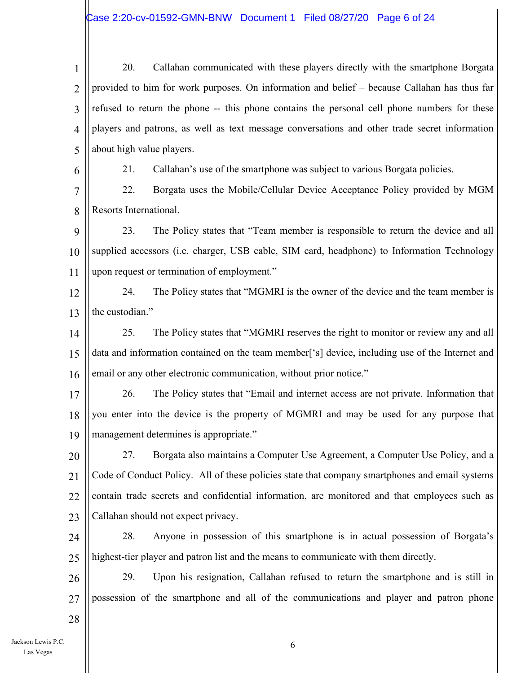1 2 3 4 5 20. Callahan communicated with these players directly with the smartphone Borgata provided to him for work purposes. On information and belief – because Callahan has thus far refused to return the phone -- this phone contains the personal cell phone numbers for these players and patrons, as well as text message conversations and other trade secret information about high value players.

6

21. Callahan's use of the smartphone was subject to various Borgata policies.

7 8 22. Borgata uses the Mobile/Cellular Device Acceptance Policy provided by MGM Resorts International.

9 10 11 23. The Policy states that "Team member is responsible to return the device and all supplied accessors (i.e. charger, USB cable, SIM card, headphone) to Information Technology upon request or termination of employment."

12 13 24. The Policy states that "MGMRI is the owner of the device and the team member is the custodian."

14 15 16 25. The Policy states that "MGMRI reserves the right to monitor or review any and all data and information contained on the team member['s] device, including use of the Internet and email or any other electronic communication, without prior notice."

17 18 19 26. The Policy states that "Email and internet access are not private. Information that you enter into the device is the property of MGMRI and may be used for any purpose that management determines is appropriate."

20 21 22 23 27. Borgata also maintains a Computer Use Agreement, a Computer Use Policy, and a Code of Conduct Policy. All of these policies state that company smartphones and email systems contain trade secrets and confidential information, are monitored and that employees such as Callahan should not expect privacy.

24 25 28. Anyone in possession of this smartphone is in actual possession of Borgata's highest-tier player and patron list and the means to communicate with them directly.

26 27 29. Upon his resignation, Callahan refused to return the smartphone and is still in possession of the smartphone and all of the communications and player and patron phone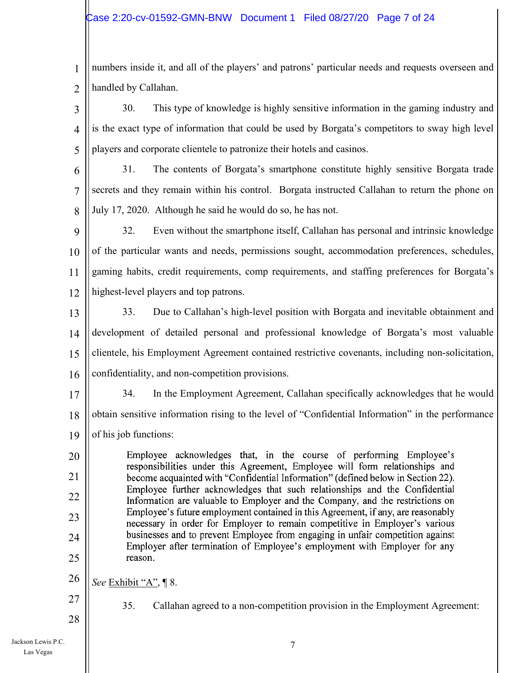1 2 numbers inside it, and all of the players' and patrons' particular needs and requests overseen and handled by Callahan.

3 4 5 30. This type of knowledge is highly sensitive information in the gaming industry and is the exact type of information that could be used by Borgata's competitors to sway high level players and corporate clientele to patronize their hotels and casinos.

6 7 8 31. The contents of Borgata's smartphone constitute highly sensitive Borgata trade secrets and they remain within his control. Borgata instructed Callahan to return the phone on July 17, 2020. Although he said he would do so, he has not.

9 10 11 12 32. Even without the smartphone itself, Callahan has personal and intrinsic knowledge of the particular wants and needs, permissions sought, accommodation preferences, schedules, gaming habits, credit requirements, comp requirements, and staffing preferences for Borgata's highest-level players and top patrons.

13 14 15 16 33. Due to Callahan's high-level position with Borgata and inevitable obtainment and development of detailed personal and professional knowledge of Borgata's most valuable clientele, his Employment Agreement contained restrictive covenants, including non-solicitation, confidentiality, and non-competition provisions.

17 18 19 34. In the Employment Agreement, Callahan specifically acknowledges that he would obtain sensitive information rising to the level of "Confidential Information" in the performance of his job functions:

Employee acknowledges that, in the course of performing Employee's responsibilities under this Agreement, Employee will form relationships and become acquainted with "Confidential Information" (defined below in Section 22). Employee further acknowledges that such relationships and the Confidential Information are valuable to Employer and the Company, and the restrictions on Employee's future employment contained in this Agreement, if any, are reasonably necessary in order for Employer to remain competitive in Employer's various businesses and to prevent Employee from engaging in unfair competition against Employer after termination of Employee's employment with Employer for any reason. 20 21 22 23 24 25

- 26 *See* Exhibit "A", ¶ 8.
- 27 28

35. Callahan agreed to a non-competition provision in the Employment Agreement: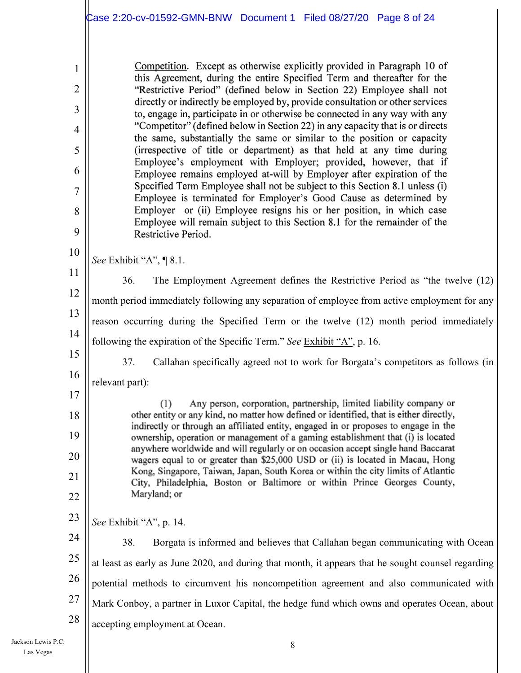Competition. Except as otherwise explicitly provided in Paragraph 10 of this Agreement, during the entire Specified Term and thereafter for the "Restrictive Period" (defined below in Section 22) Employee shall not directly or indirectly be employed by, provide consultation or other services to, engage in, participate in or otherwise be connected in any way with any "Competitor" (defined below in Section 22) in any capacity that is or directs the same, substantially the same or similar to the position or capacity (irrespective of title or department) as that held at any time during Employee's employment with Employer; provided, however, that if Employee remains employed at-will by Employer after expiration of the Specified Term Employee shall not be subject to this Section 8.1 unless (i) Employee is terminated for Employer's Good Cause as determined by Employer or (ii) Employee resigns his or her position, in which case Employee will remain subject to this Section 8.1 for the remainder of the Restrictive Period. *See* Exhibit "A", ¶ 8.1. 36. The Employment Agreement defines the Restrictive Period as "the twelve (12) month period immediately following any separation of employee from active employment for any

13 14 reason occurring during the Specified Term or the twelve (12) month period immediately following the expiration of the Specific Term." *See* Exhibit "A", p. 16.

15 16 37. Callahan specifically agreed not to work for Borgata's competitors as follows (in relevant part):

(1) Any person, corporation, partnership, limited liability company or other entity or any kind, no matter how defined or identified, that is either directly, indirectly or through an affiliated entity, engaged in or proposes to engage in the ownership, operation or management of a gaming establishment that (i) is located anywhere worldwide and will regularly or on occasion accept single hand Baccarat wagers equal to or greater than \$25,000 USD or (ii) is located in Macau, Hong Kong. Singapore, Taiwan, Japan, South Korea or within the city limits of Atlantic City, Philadelphia, Boston or Baltimore or within Prince Georges County, Maryland; or

23 *See* Exhibit "A", p. 14.

1

2

3

4

5

6

7

8

9

10

11

12

17

18

19

20

21

22

24 25 26 27 28 38. Borgata is informed and believes that Callahan began communicating with Ocean at least as early as June 2020, and during that month, it appears that he sought counsel regarding potential methods to circumvent his noncompetition agreement and also communicated with Mark Conboy, a partner in Luxor Capital, the hedge fund which owns and operates Ocean, about accepting employment at Ocean.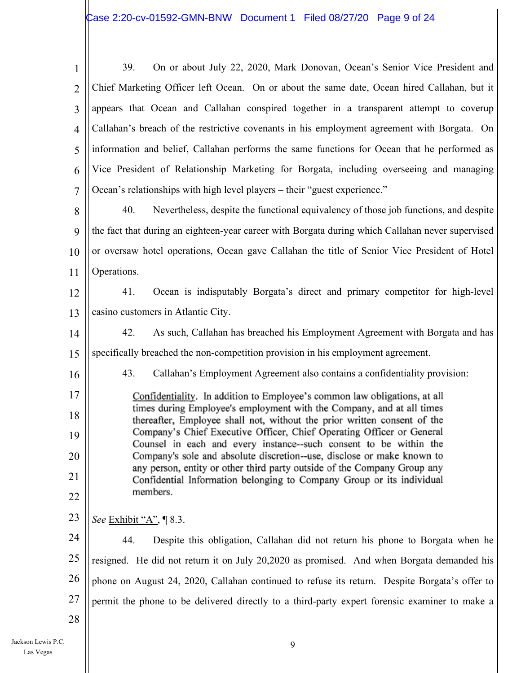| $\mathbf{1}$   | 39.<br>On or about July 22, 2020, Mark Donovan, Ocean's Senior Vice President and                                                                 |  |
|----------------|---------------------------------------------------------------------------------------------------------------------------------------------------|--|
| $\overline{2}$ | Chief Marketing Officer left Ocean. On or about the same date, Ocean hired Callahan, but it                                                       |  |
| 3              | appears that Ocean and Callahan conspired together in a transparent attempt to coverup                                                            |  |
| $\overline{4}$ | Callahan's breach of the restrictive covenants in his employment agreement with Borgata. On                                                       |  |
| 5              | information and belief, Callahan performs the same functions for Ocean that he performed as                                                       |  |
| 6              | Vice President of Relationship Marketing for Borgata, including overseeing and managing                                                           |  |
| $\overline{7}$ | Ocean's relationships with high level players – their "guest experience."                                                                         |  |
| 8              | 40.<br>Nevertheless, despite the functional equivalency of those job functions, and despite                                                       |  |
| 9              | the fact that during an eighteen-year career with Borgata during which Callahan never supervised                                                  |  |
| 10             | or oversaw hotel operations, Ocean gave Callahan the title of Senior Vice President of Hotel                                                      |  |
| 11             | Operations.                                                                                                                                       |  |
| 12             | 41.<br>Ocean is indisputably Borgata's direct and primary competitor for high-level                                                               |  |
| 13             | casino customers in Atlantic City.                                                                                                                |  |
| 14             | 42.<br>As such, Callahan has breached his Employment Agreement with Borgata and has                                                               |  |
| 15             | specifically breached the non-competition provision in his employment agreement.                                                                  |  |
| 16             | 43.<br>Callahan's Employment Agreement also contains a confidentiality provision:                                                                 |  |
| 17             | Confidentiality. In addition to Employee's common law obligations, at all                                                                         |  |
| 18             | times during Employee's employment with the Company, and at all times<br>thereafter, Employee shall not, without the prior written consent of the |  |
| 19             | Company's Chief Executive Officer, Chief Operating Officer or General<br>Counsel in each and every instance--such consent to be within the        |  |
| 20             | Company's sole and absolute discretion--use, disclose or make known to                                                                            |  |
| 21             | any person, entity or other third party outside of the Company Group any<br>Confidential Information belonging to Company Group or its individual |  |
| 22             | members.                                                                                                                                          |  |
| 23             | <i>See</i> Exhibit "A",   8.3.                                                                                                                    |  |
| 24             | 44.<br>Despite this obligation, Callahan did not return his phone to Borgata when he                                                              |  |
| 25             | resigned. He did not return it on July 20,2020 as promised. And when Borgata demanded his                                                         |  |
| 26             | phone on August 24, 2020, Callahan continued to refuse its return. Despite Borgata's offer to                                                     |  |
| 27             | permit the phone to be delivered directly to a third-party expert forensic examiner to make a                                                     |  |
| 28             |                                                                                                                                                   |  |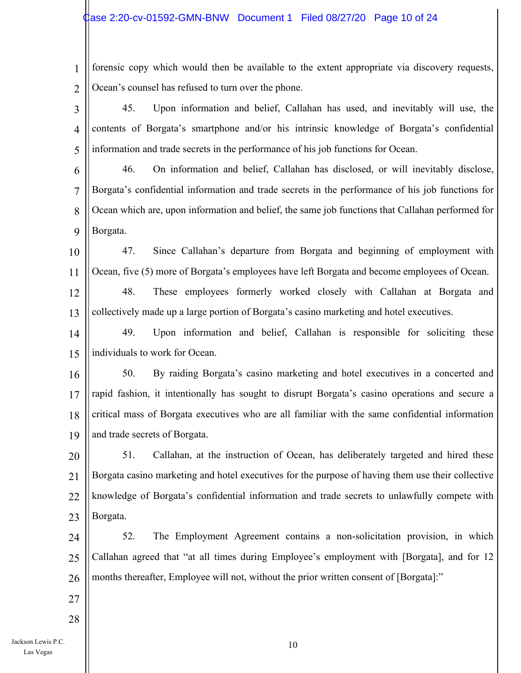#### Case 2:20-cv-01592-GMN-BNW Document 1 Filed 08/27/20 Page 10 of 24

1 2 forensic copy which would then be available to the extent appropriate via discovery requests, Ocean's counsel has refused to turn over the phone.

3 4 5 45. Upon information and belief, Callahan has used, and inevitably will use, the contents of Borgata's smartphone and/or his intrinsic knowledge of Borgata's confidential information and trade secrets in the performance of his job functions for Ocean.

6 7 8 9 46. On information and belief, Callahan has disclosed, or will inevitably disclose, Borgata's confidential information and trade secrets in the performance of his job functions for Ocean which are, upon information and belief, the same job functions that Callahan performed for Borgata.

10 11 47. Since Callahan's departure from Borgata and beginning of employment with Ocean, five (5) more of Borgata's employees have left Borgata and become employees of Ocean.

12 13 48. These employees formerly worked closely with Callahan at Borgata and collectively made up a large portion of Borgata's casino marketing and hotel executives.

14 15 49. Upon information and belief, Callahan is responsible for soliciting these individuals to work for Ocean.

16 17 18 19 50. By raiding Borgata's casino marketing and hotel executives in a concerted and rapid fashion, it intentionally has sought to disrupt Borgata's casino operations and secure a critical mass of Borgata executives who are all familiar with the same confidential information and trade secrets of Borgata.

20 21 22 23 51. Callahan, at the instruction of Ocean, has deliberately targeted and hired these Borgata casino marketing and hotel executives for the purpose of having them use their collective knowledge of Borgata's confidential information and trade secrets to unlawfully compete with Borgata.

24 25 26 52. The Employment Agreement contains a non-solicitation provision, in which Callahan agreed that "at all times during Employee's employment with [Borgata], and for 12 months thereafter, Employee will not, without the prior written consent of [Borgata]:"

27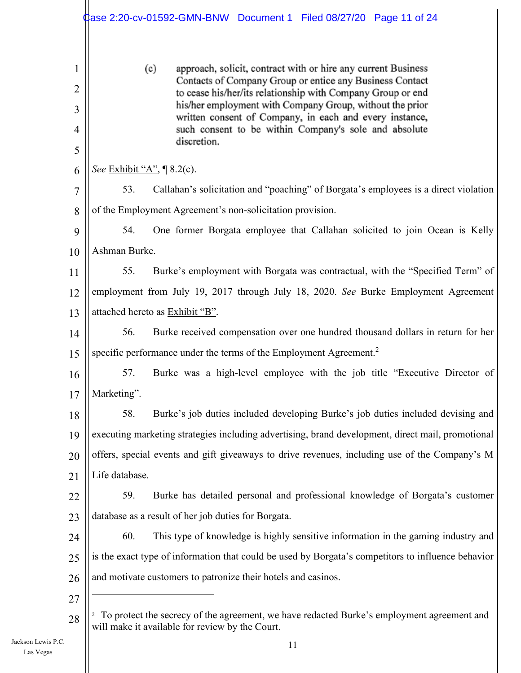|                                    | dase 2:20-cv-01592-GMN-BNW Document 1    Filed 08/27/20    Page 11 of 24                                                                                                                                                                                                                                                                                                                       |  |  |
|------------------------------------|------------------------------------------------------------------------------------------------------------------------------------------------------------------------------------------------------------------------------------------------------------------------------------------------------------------------------------------------------------------------------------------------|--|--|
| 1<br>$\overline{2}$<br>3<br>4<br>5 | (c)<br>approach, solicit, contract with or hire any current Business<br>Contacts of Company Group or entice any Business Contact<br>to cease his/her/its relationship with Company Group or end<br>his/her employment with Company Group, without the prior<br>written consent of Company, in each and every instance,<br>such consent to be within Company's sole and absolute<br>discretion. |  |  |
| 6                                  | <i>See</i> Exhibit "A", ¶ 8.2(c).                                                                                                                                                                                                                                                                                                                                                              |  |  |
| 7                                  | Callahan's solicitation and "poaching" of Borgata's employees is a direct violation<br>53.                                                                                                                                                                                                                                                                                                     |  |  |
| 8                                  | of the Employment Agreement's non-solicitation provision.                                                                                                                                                                                                                                                                                                                                      |  |  |
| 9                                  | 54.<br>One former Borgata employee that Callahan solicited to join Ocean is Kelly                                                                                                                                                                                                                                                                                                              |  |  |
| 10                                 | Ashman Burke.                                                                                                                                                                                                                                                                                                                                                                                  |  |  |
| 11                                 | 55.<br>Burke's employment with Borgata was contractual, with the "Specified Term" of                                                                                                                                                                                                                                                                                                           |  |  |
| 12                                 | employment from July 19, 2017 through July 18, 2020. See Burke Employment Agreement                                                                                                                                                                                                                                                                                                            |  |  |
| 13                                 | attached hereto as Exhibit "B".                                                                                                                                                                                                                                                                                                                                                                |  |  |
| 14                                 | 56.<br>Burke received compensation over one hundred thousand dollars in return for her                                                                                                                                                                                                                                                                                                         |  |  |
| 15                                 | specific performance under the terms of the Employment Agreement. <sup>2</sup>                                                                                                                                                                                                                                                                                                                 |  |  |
| 16                                 | 57.<br>Burke was a high-level employee with the job title "Executive Director of                                                                                                                                                                                                                                                                                                               |  |  |
| 17                                 | Marketing".                                                                                                                                                                                                                                                                                                                                                                                    |  |  |
| 18                                 | Burke's job duties included developing Burke's job duties included devising and<br>58.                                                                                                                                                                                                                                                                                                         |  |  |
| 19                                 | executing marketing strategies including advertising, brand development, direct mail, promotional                                                                                                                                                                                                                                                                                              |  |  |
| 20                                 | offers, special events and gift giveaways to drive revenues, including use of the Company's M                                                                                                                                                                                                                                                                                                  |  |  |
| 21                                 | Life database.                                                                                                                                                                                                                                                                                                                                                                                 |  |  |
| 22                                 | 59.<br>Burke has detailed personal and professional knowledge of Borgata's customer                                                                                                                                                                                                                                                                                                            |  |  |
| 23                                 | database as a result of her job duties for Borgata.                                                                                                                                                                                                                                                                                                                                            |  |  |
| 24                                 | 60.<br>This type of knowledge is highly sensitive information in the gaming industry and                                                                                                                                                                                                                                                                                                       |  |  |
| 25                                 | is the exact type of information that could be used by Borgata's competitors to influence behavior                                                                                                                                                                                                                                                                                             |  |  |
| 26                                 | and motivate customers to patronize their hotels and casinos.                                                                                                                                                                                                                                                                                                                                  |  |  |
| 27                                 |                                                                                                                                                                                                                                                                                                                                                                                                |  |  |
| 28                                 | To protect the secrecy of the agreement, we have redacted Burke's employment agreement and<br>$\overline{c}$<br>will make it available for review by the Court.                                                                                                                                                                                                                                |  |  |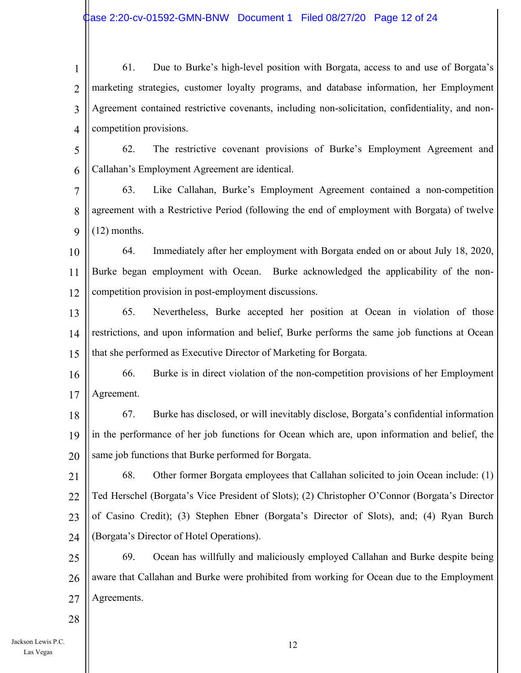1 2 3 4 61. Due to Burke's high-level position with Borgata, access to and use of Borgata's marketing strategies, customer loyalty programs, and database information, her Employment Agreement contained restrictive covenants, including non-solicitation, confidentiality, and noncompetition provisions.

5 6 62. The restrictive covenant provisions of Burke's Employment Agreement and Callahan's Employment Agreement are identical.

7 8 9 63. Like Callahan, Burke's Employment Agreement contained a non-competition agreement with a Restrictive Period (following the end of employment with Borgata) of twelve (12) months.

10 11 12 64. Immediately after her employment with Borgata ended on or about July 18, 2020, Burke began employment with Ocean. Burke acknowledged the applicability of the noncompetition provision in post-employment discussions.

13 14 15 65. Nevertheless, Burke accepted her position at Ocean in violation of those restrictions, and upon information and belief, Burke performs the same job functions at Ocean that she performed as Executive Director of Marketing for Borgata.

16 17 66. Burke is in direct violation of the non-competition provisions of her Employment Agreement.

18 19 20 67. Burke has disclosed, or will inevitably disclose, Borgata's confidential information in the performance of her job functions for Ocean which are, upon information and belief, the same job functions that Burke performed for Borgata.

21 22 23 24 68. Other former Borgata employees that Callahan solicited to join Ocean include: (1) Ted Herschel (Borgata's Vice President of Slots); (2) Christopher O'Connor (Borgata's Director of Casino Credit); (3) Stephen Ebner (Borgata's Director of Slots), and; (4) Ryan Burch (Borgata's Director of Hotel Operations).

25 26 27 69. Ocean has willfully and maliciously employed Callahan and Burke despite being aware that Callahan and Burke were prohibited from working for Ocean due to the Employment Agreements.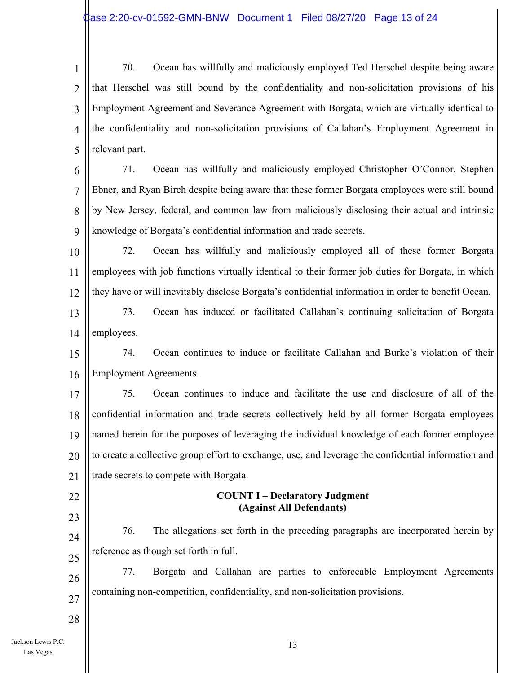1 2 3 4 5 70. Ocean has willfully and maliciously employed Ted Herschel despite being aware that Herschel was still bound by the confidentiality and non-solicitation provisions of his Employment Agreement and Severance Agreement with Borgata, which are virtually identical to the confidentiality and non-solicitation provisions of Callahan's Employment Agreement in relevant part.

6 7 8 9 71. Ocean has willfully and maliciously employed Christopher O'Connor, Stephen Ebner, and Ryan Birch despite being aware that these former Borgata employees were still bound by New Jersey, federal, and common law from maliciously disclosing their actual and intrinsic knowledge of Borgata's confidential information and trade secrets.

10 11 12 72. Ocean has willfully and maliciously employed all of these former Borgata employees with job functions virtually identical to their former job duties for Borgata, in which they have or will inevitably disclose Borgata's confidential information in order to benefit Ocean.

13 14 73. Ocean has induced or facilitated Callahan's continuing solicitation of Borgata employees.

15 16 74. Ocean continues to induce or facilitate Callahan and Burke's violation of their Employment Agreements.

17 18 19 20 21 75. Ocean continues to induce and facilitate the use and disclosure of all of the confidential information and trade secrets collectively held by all former Borgata employees named herein for the purposes of leveraging the individual knowledge of each former employee to create a collective group effort to exchange, use, and leverage the confidential information and trade secrets to compete with Borgata.

## 22

23

28

#### **COUNT I – Declaratory Judgment (Against All Defendants)**

24 25 76. The allegations set forth in the preceding paragraphs are incorporated herein by reference as though set forth in full.

26 27 77. Borgata and Callahan are parties to enforceable Employment Agreements containing non-competition, confidentiality, and non-solicitation provisions.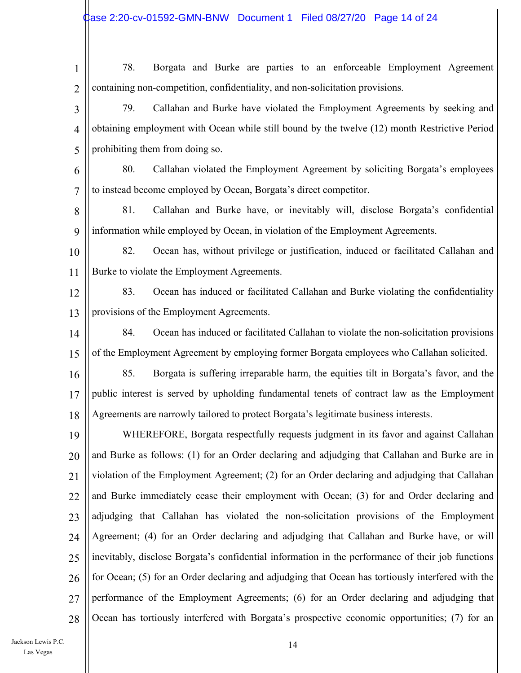1 2 3 4 5 6 7 8 9 10 11 12 13 14 15 16 17 18 19 20 21 22 23 24 25 26 27 28 78. Borgata and Burke are parties to an enforceable Employment Agreement containing non-competition, confidentiality, and non-solicitation provisions. 79. Callahan and Burke have violated the Employment Agreements by seeking and obtaining employment with Ocean while still bound by the twelve (12) month Restrictive Period prohibiting them from doing so. 80. Callahan violated the Employment Agreement by soliciting Borgata's employees to instead become employed by Ocean, Borgata's direct competitor. 81. Callahan and Burke have, or inevitably will, disclose Borgata's confidential information while employed by Ocean, in violation of the Employment Agreements. 82. Ocean has, without privilege or justification, induced or facilitated Callahan and Burke to violate the Employment Agreements. 83. Ocean has induced or facilitated Callahan and Burke violating the confidentiality provisions of the Employment Agreements. 84. Ocean has induced or facilitated Callahan to violate the non-solicitation provisions of the Employment Agreement by employing former Borgata employees who Callahan solicited. 85. Borgata is suffering irreparable harm, the equities tilt in Borgata's favor, and the public interest is served by upholding fundamental tenets of contract law as the Employment Agreements are narrowly tailored to protect Borgata's legitimate business interests. WHEREFORE, Borgata respectfully requests judgment in its favor and against Callahan and Burke as follows: (1) for an Order declaring and adjudging that Callahan and Burke are in violation of the Employment Agreement; (2) for an Order declaring and adjudging that Callahan and Burke immediately cease their employment with Ocean; (3) for and Order declaring and adjudging that Callahan has violated the non-solicitation provisions of the Employment Agreement; (4) for an Order declaring and adjudging that Callahan and Burke have, or will inevitably, disclose Borgata's confidential information in the performance of their job functions for Ocean; (5) for an Order declaring and adjudging that Ocean has tortiously interfered with the performance of the Employment Agreements; (6) for an Order declaring and adjudging that Ocean has tortiously interfered with Borgata's prospective economic opportunities; (7) for an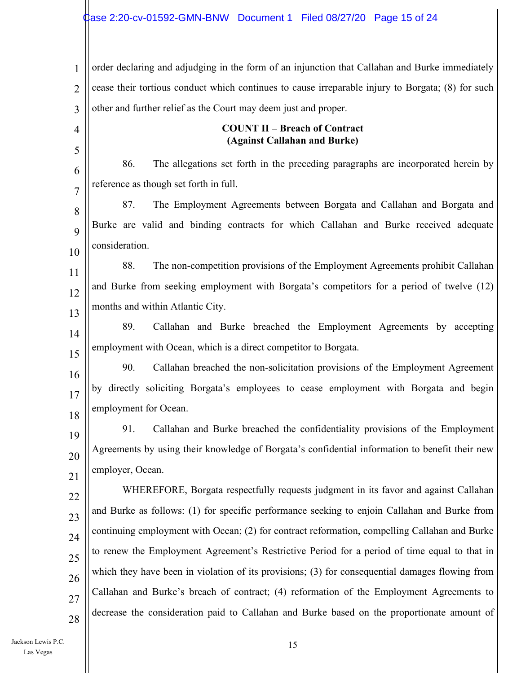1 2 3 4 5 6 7 8  $\mathbf Q$ 10 11 12 13 14 15 16 order declaring and adjudging in the form of an injunction that Callahan and Burke immediately cease their tortious conduct which continues to cause irreparable injury to Borgata; (8) for such other and further relief as the Court may deem just and proper. **COUNT II – Breach of Contract (Against Callahan and Burke)**  86. The allegations set forth in the preceding paragraphs are incorporated herein by reference as though set forth in full. 87. The Employment Agreements between Borgata and Callahan and Borgata and Burke are valid and binding contracts for which Callahan and Burke received adequate consideration. 88. The non-competition provisions of the Employment Agreements prohibit Callahan and Burke from seeking employment with Borgata's competitors for a period of twelve (12) months and within Atlantic City. 89. Callahan and Burke breached the Employment Agreements by accepting employment with Ocean, which is a direct competitor to Borgata. 90. Callahan breached the non-solicitation provisions of the Employment Agreement

17 18 by directly soliciting Borgata's employees to cease employment with Borgata and begin employment for Ocean.

19 20 21 91. Callahan and Burke breached the confidentiality provisions of the Employment Agreements by using their knowledge of Borgata's confidential information to benefit their new employer, Ocean.

22 23 24 25 26 27 28 WHEREFORE, Borgata respectfully requests judgment in its favor and against Callahan and Burke as follows: (1) for specific performance seeking to enjoin Callahan and Burke from continuing employment with Ocean; (2) for contract reformation, compelling Callahan and Burke to renew the Employment Agreement's Restrictive Period for a period of time equal to that in which they have been in violation of its provisions; (3) for consequential damages flowing from Callahan and Burke's breach of contract; (4) reformation of the Employment Agreements to decrease the consideration paid to Callahan and Burke based on the proportionate amount of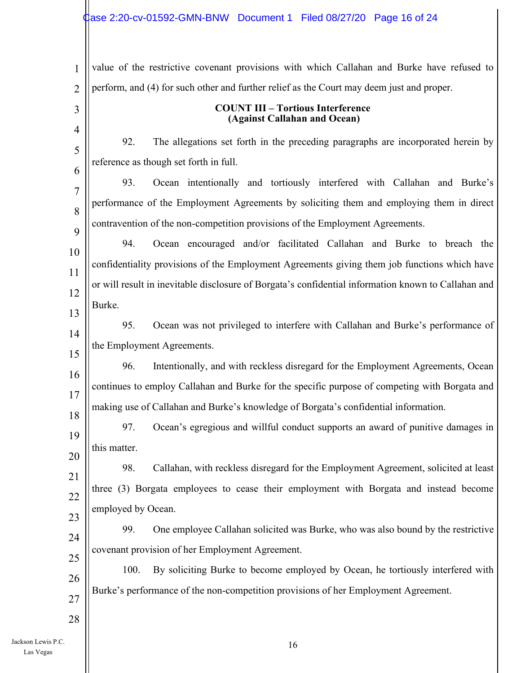## Case 2:20-cv-01592-GMN-BNW Document 1 Filed 08/27/20 Page 16 of 24

| $\mathbf{1}$       | value of the restrictive covenant provisions with which Callahan and Burke have refused to          |
|--------------------|-----------------------------------------------------------------------------------------------------|
| $\overline{2}$     | perform, and (4) for such other and further relief as the Court may deem just and proper.           |
| 3                  | <b>COUNT III - Tortious Interference</b><br>(Against Callahan and Ocean)                            |
| $\overline{4}$     | 92.<br>The allegations set forth in the preceding paragraphs are incorporated herein by             |
| 5                  | reference as though set forth in full.                                                              |
| 6                  | Ocean intentionally and tortiously interfered with Callahan and Burke's<br>93.                      |
| 7                  | performance of the Employment Agreements by soliciting them and employing them in direct            |
| 8                  | contravention of the non-competition provisions of the Employment Agreements.                       |
| 9                  | Ocean encouraged and/or facilitated Callahan and Burke to breach the<br>94.                         |
| 10                 | confidentiality provisions of the Employment Agreements giving them job functions which have        |
| 11                 | or will result in inevitable disclosure of Borgata's confidential information known to Callahan and |
| 12                 | Burke.                                                                                              |
| 13                 |                                                                                                     |
| 14                 | Ocean was not privileged to interfere with Callahan and Burke's performance of<br>95.               |
| 15                 | the Employment Agreements.                                                                          |
| 16                 | Intentionally, and with reckless disregard for the Employment Agreements, Ocean<br>96.              |
| 17                 | continues to employ Callahan and Burke for the specific purpose of competing with Borgata and       |
| 18                 | making use of Callahan and Burke's knowledge of Borgata's confidential information.                 |
| 19                 | Ocean's egregious and willful conduct supports an award of punitive damages in<br>97.               |
| 20                 | this matter.                                                                                        |
| 21                 | 98.<br>Callahan, with reckless disregard for the Employment Agreement, solicited at least           |
| 22                 | three (3) Borgata employees to cease their employment with Borgata and instead become               |
| 23                 | employed by Ocean.                                                                                  |
| 24                 | One employee Callahan solicited was Burke, who was also bound by the restrictive<br>99.             |
| 25                 | covenant provision of her Employment Agreement.                                                     |
| 26                 | By soliciting Burke to become employed by Ocean, he tortiously interfered with<br>100.              |
| 27                 | Burke's performance of the non-competition provisions of her Employment Agreement.                  |
| 28                 |                                                                                                     |
| Jackson Lewis P.C. |                                                                                                     |
|                    | 16                                                                                                  |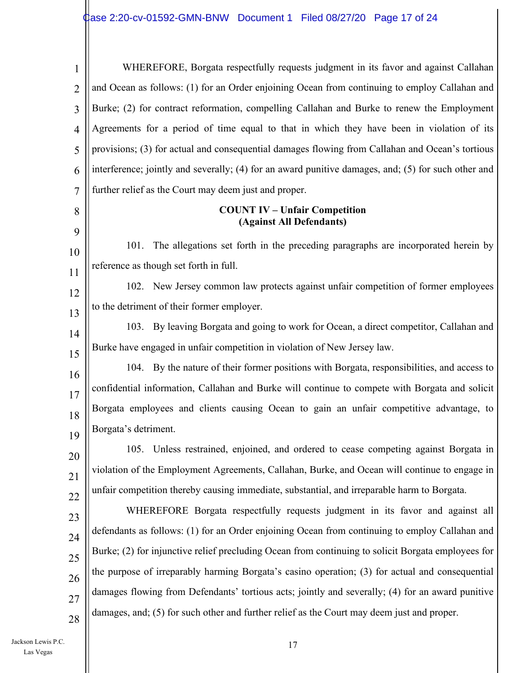| $\mathbf{1}$   | WHEREFORE, Borgata respectfully requests judgment in its favor and against Callahan                 |
|----------------|-----------------------------------------------------------------------------------------------------|
| $\overline{2}$ | and Ocean as follows: (1) for an Order enjoining Ocean from continuing to employ Callahan and       |
| 3              | Burke; (2) for contract reformation, compelling Callahan and Burke to renew the Employment          |
| $\overline{4}$ | Agreements for a period of time equal to that in which they have been in violation of its           |
| 5              | provisions; (3) for actual and consequential damages flowing from Callahan and Ocean's tortious     |
| 6              | interference; jointly and severally; (4) for an award punitive damages, and; (5) for such other and |
| 7              | further relief as the Court may deem just and proper.                                               |
| 8<br>9         | <b>COUNT IV - Unfair Competition</b><br>(Against All Defendants)                                    |
| 10             | The allegations set forth in the preceding paragraphs are incorporated herein by<br>101.            |
| 11             | reference as though set forth in full.                                                              |
| 12             | 102. New Jersey common law protects against unfair competition of former employees                  |
| 13             | to the detriment of their former employer.                                                          |
| 14             | 103. By leaving Borgata and going to work for Ocean, a direct competitor, Callahan and              |
| 15             | Burke have engaged in unfair competition in violation of New Jersey law.                            |
| 16             | 104. By the nature of their former positions with Borgata, responsibilities, and access to          |
| 17             | confidential information, Callahan and Burke will continue to compete with Borgata and solicit      |
| 18             | Borgata employees and clients causing Ocean to gain an unfair competitive advantage, to             |
| 19             | Borgata's detriment.                                                                                |
| 20             | 105. Unless restrained, enjoined, and ordered to cease competing against Borgata in                 |
| 21             | violation of the Employment Agreements, Callahan, Burke, and Ocean will continue to engage in       |
| 22             | unfair competition thereby causing immediate, substantial, and irreparable harm to Borgata.         |
| 23             | WHEREFORE Borgata respectfully requests judgment in its favor and against all                       |
| 24             | defendants as follows: (1) for an Order enjoining Ocean from continuing to employ Callahan and      |
| 25             | Burke; (2) for injunctive relief precluding Ocean from continuing to solicit Borgata employees for  |
| 26             | the purpose of irreparably harming Borgata's casino operation; (3) for actual and consequential     |
| 27             | damages flowing from Defendants' tortious acts; jointly and severally; (4) for an award punitive    |
| 28             | damages, and; (5) for such other and further relief as the Court may deem just and proper.          |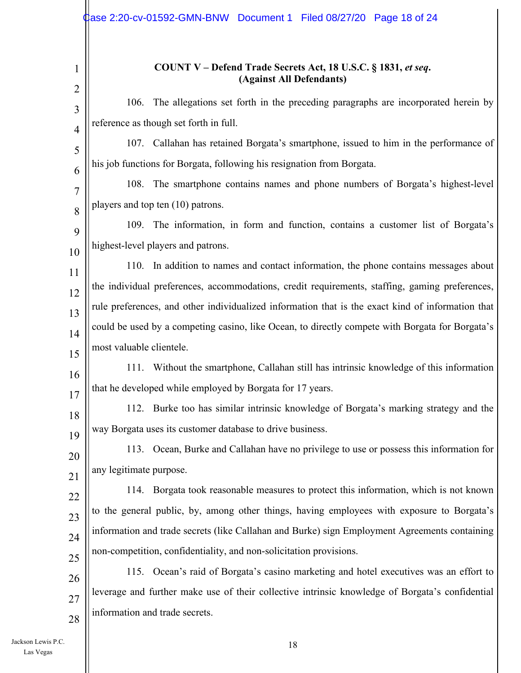|                | dase 2:20-cv-01592-GMN-BNW Document 1    Filed 08/27/20    Page 18 of 24                          |
|----------------|---------------------------------------------------------------------------------------------------|
| $\overline{2}$ | COUNT V – Defend Trade Secrets Act, 18 U.S.C. § 1831, et seq.<br>(Against All Defendants)         |
| 3              | The allegations set forth in the preceding paragraphs are incorporated herein by<br>106.          |
| $\overline{4}$ | reference as though set forth in full.                                                            |
| 5              | 107. Callahan has retained Borgata's smartphone, issued to him in the performance of              |
| 6              | his job functions for Borgata, following his resignation from Borgata.                            |
| 7              | The smartphone contains names and phone numbers of Borgata's highest-level<br>108.                |
| 8              | players and top ten (10) patrons.                                                                 |
| 9              | 109. The information, in form and function, contains a customer list of Borgata's                 |
| 10             | highest-level players and patrons.                                                                |
| 11             | 110. In addition to names and contact information, the phone contains messages about              |
| 12             | the individual preferences, accommodations, credit requirements, staffing, gaming preferences,    |
| 13             | rule preferences, and other individualized information that is the exact kind of information that |
| 14             | could be used by a competing casino, like Ocean, to directly compete with Borgata for Borgata's   |
| 15             | most valuable clientele.                                                                          |
| 16             | Without the smartphone, Callahan still has intrinsic knowledge of this information<br>111.        |
| 17             | that he developed while employed by Borgata for 17 years.                                         |
| 18             | 112. Burke too has similar intrinsic knowledge of Borgata's marking strategy and the              |
| 19             | way Borgata uses its customer database to drive business.                                         |
| 20             | 113. Ocean, Burke and Callahan have no privilege to use or possess this information for           |
| 21             | any legitimate purpose.                                                                           |
| 22             | 114. Borgata took reasonable measures to protect this information, which is not known             |
| 23             | to the general public, by, among other things, having employees with exposure to Borgata's        |
| 24             | information and trade secrets (like Callahan and Burke) sign Employment Agreements containing     |
| 25             | non-competition, confidentiality, and non-solicitation provisions.                                |
| 26             | 115. Ocean's raid of Borgata's casino marketing and hotel executives was an effort to             |
| 27             | leverage and further make use of their collective intrinsic knowledge of Borgata's confidential   |
| 28             | information and trade secrets.                                                                    |

Jackson Lewis P.C. 18 Las Vegas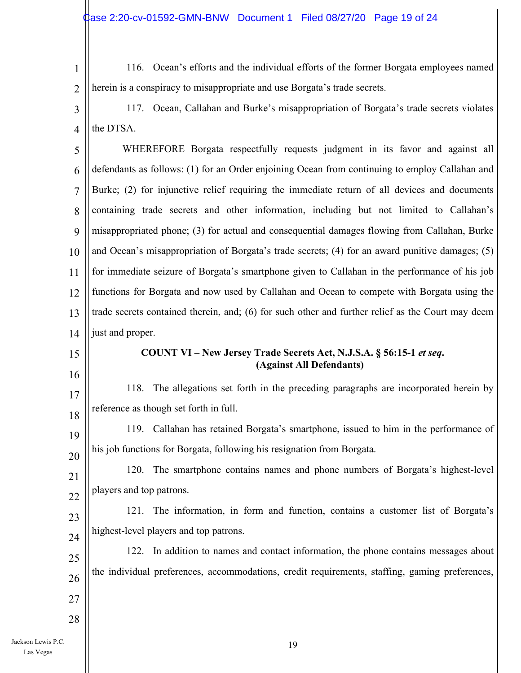1 2 116. Ocean's efforts and the individual efforts of the former Borgata employees named herein is a conspiracy to misappropriate and use Borgata's trade secrets.

3 4 117. Ocean, Callahan and Burke's misappropriation of Borgata's trade secrets violates the DTSA.

5 6 7 8  $\mathbf Q$ 10 11 12 13 14 WHEREFORE Borgata respectfully requests judgment in its favor and against all defendants as follows: (1) for an Order enjoining Ocean from continuing to employ Callahan and Burke; (2) for injunctive relief requiring the immediate return of all devices and documents containing trade secrets and other information, including but not limited to Callahan's misappropriated phone; (3) for actual and consequential damages flowing from Callahan, Burke and Ocean's misappropriation of Borgata's trade secrets; (4) for an award punitive damages; (5) for immediate seizure of Borgata's smartphone given to Callahan in the performance of his job functions for Borgata and now used by Callahan and Ocean to compete with Borgata using the trade secrets contained therein, and; (6) for such other and further relief as the Court may deem just and proper.

15

16

17

18

#### **COUNT VI – New Jersey Trade Secrets Act, N.J.S.A. § 56:15-1** *et seq***. (Against All Defendants)**

118. The allegations set forth in the preceding paragraphs are incorporated herein by reference as though set forth in full.

19 20 119. Callahan has retained Borgata's smartphone, issued to him in the performance of his job functions for Borgata, following his resignation from Borgata.

21 22 120. The smartphone contains names and phone numbers of Borgata's highest-level players and top patrons.

23 24 121. The information, in form and function, contains a customer list of Borgata's highest-level players and top patrons.

25 26 122. In addition to names and contact information, the phone contains messages about the individual preferences, accommodations, credit requirements, staffing, gaming preferences,

27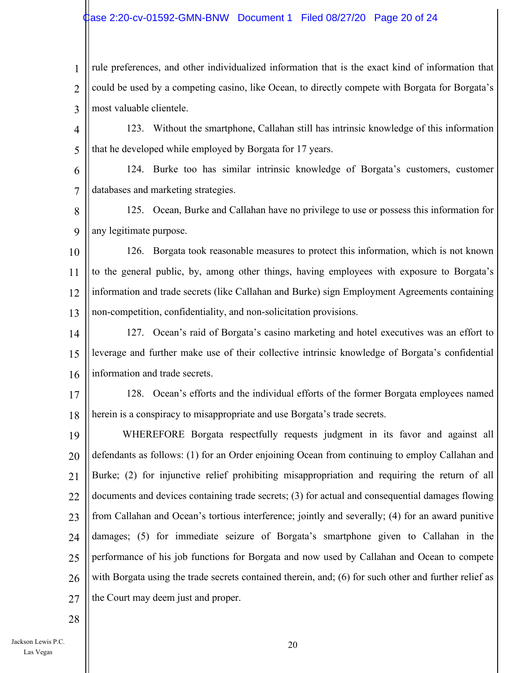#### Case 2:20-cv-01592-GMN-BNW Document 1 Filed 08/27/20 Page 20 of 24

1 2 3 rule preferences, and other individualized information that is the exact kind of information that could be used by a competing casino, like Ocean, to directly compete with Borgata for Borgata's most valuable clientele.

4 5 123. Without the smartphone, Callahan still has intrinsic knowledge of this information that he developed while employed by Borgata for 17 years.

6 7 124. Burke too has similar intrinsic knowledge of Borgata's customers, customer databases and marketing strategies.

8  $\mathbf Q$ 125. Ocean, Burke and Callahan have no privilege to use or possess this information for any legitimate purpose.

10 11 12 13 126. Borgata took reasonable measures to protect this information, which is not known to the general public, by, among other things, having employees with exposure to Borgata's information and trade secrets (like Callahan and Burke) sign Employment Agreements containing non-competition, confidentiality, and non-solicitation provisions.

14 15 16 127. Ocean's raid of Borgata's casino marketing and hotel executives was an effort to leverage and further make use of their collective intrinsic knowledge of Borgata's confidential information and trade secrets.

17 18 128. Ocean's efforts and the individual efforts of the former Borgata employees named herein is a conspiracy to misappropriate and use Borgata's trade secrets.

19 20 21 22 23 24 25 26 27 WHEREFORE Borgata respectfully requests judgment in its favor and against all defendants as follows: (1) for an Order enjoining Ocean from continuing to employ Callahan and Burke; (2) for injunctive relief prohibiting misappropriation and requiring the return of all documents and devices containing trade secrets; (3) for actual and consequential damages flowing from Callahan and Ocean's tortious interference; jointly and severally; (4) for an award punitive damages; (5) for immediate seizure of Borgata's smartphone given to Callahan in the performance of his job functions for Borgata and now used by Callahan and Ocean to compete with Borgata using the trade secrets contained therein, and; (6) for such other and further relief as the Court may deem just and proper.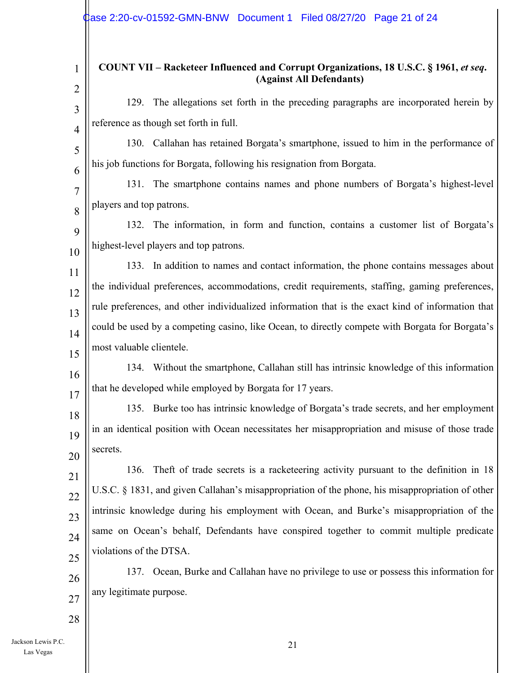| $\mathbf{1}$        | COUNT VII – Racketeer Influenced and Corrupt Organizations, 18 U.S.C. § 1961, et seq.<br>(Against All Defendants) |
|---------------------|-------------------------------------------------------------------------------------------------------------------|
| $\overline{2}$      | 129. The allegations set forth in the preceding paragraphs are incorporated herein by                             |
| 3                   | reference as though set forth in full.                                                                            |
| $\overline{4}$<br>5 | 130. Callahan has retained Borgata's smartphone, issued to him in the performance of                              |
| 6                   | his job functions for Borgata, following his resignation from Borgata.                                            |
| 7                   | 131. The smartphone contains names and phone numbers of Borgata's highest-level                                   |
| 8                   | players and top patrons.                                                                                          |
| 9                   | 132. The information, in form and function, contains a customer list of Borgata's                                 |
| 10                  | highest-level players and top patrons.                                                                            |
| 11                  | 133. In addition to names and contact information, the phone contains messages about                              |
| 12                  | the individual preferences, accommodations, credit requirements, staffing, gaming preferences,                    |
| 13                  | rule preferences, and other individualized information that is the exact kind of information that                 |
| 14                  | could be used by a competing casino, like Ocean, to directly compete with Borgata for Borgata's                   |
| 15                  | most valuable clientele.                                                                                          |
| 16                  | 134. Without the smartphone, Callahan still has intrinsic knowledge of this information                           |
| 17                  | that he developed while employed by Borgata for 17 years.                                                         |
| 18                  | 135. Burke too has intrinsic knowledge of Borgata's trade secrets, and her employment                             |
| 19                  | in an identical position with Ocean necessitates her misappropriation and misuse of those trade                   |
| 20                  | secrets.                                                                                                          |
| 21                  | Theft of trade secrets is a racketeering activity pursuant to the definition in 18<br>136.                        |
| 22                  | U.S.C. § 1831, and given Callahan's misappropriation of the phone, his misappropriation of other                  |
| 23                  | intrinsic knowledge during his employment with Ocean, and Burke's misappropriation of the                         |
| 24                  | same on Ocean's behalf, Defendants have conspired together to commit multiple predicate                           |
| 25                  | violations of the DTSA.                                                                                           |
| 26                  | Ocean, Burke and Callahan have no privilege to use or possess this information for<br>137.                        |
| 27                  | any legitimate purpose.                                                                                           |
| 28                  |                                                                                                                   |
|                     |                                                                                                                   |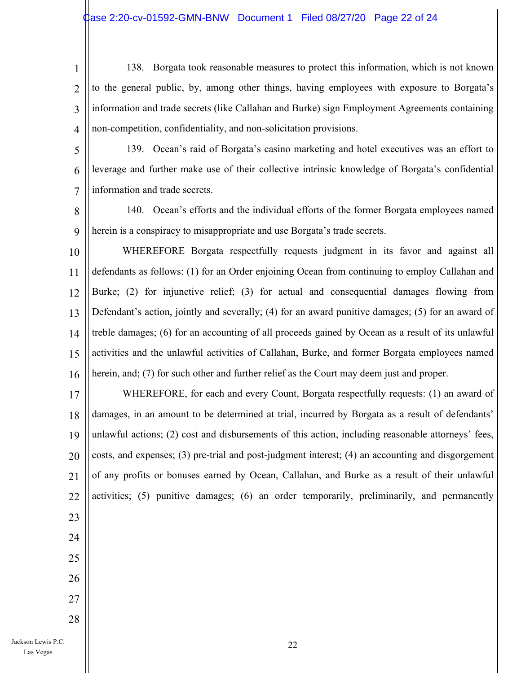- 1 2 3 4 138. Borgata took reasonable measures to protect this information, which is not known to the general public, by, among other things, having employees with exposure to Borgata's information and trade secrets (like Callahan and Burke) sign Employment Agreements containing non-competition, confidentiality, and non-solicitation provisions.
- 5

6

7

139. Ocean's raid of Borgata's casino marketing and hotel executives was an effort to leverage and further make use of their collective intrinsic knowledge of Borgata's confidential information and trade secrets.

8 9 140. Ocean's efforts and the individual efforts of the former Borgata employees named herein is a conspiracy to misappropriate and use Borgata's trade secrets.

10 11 12 13 14 15 16 WHEREFORE Borgata respectfully requests judgment in its favor and against all defendants as follows: (1) for an Order enjoining Ocean from continuing to employ Callahan and Burke; (2) for injunctive relief; (3) for actual and consequential damages flowing from Defendant's action, jointly and severally; (4) for an award punitive damages; (5) for an award of treble damages; (6) for an accounting of all proceeds gained by Ocean as a result of its unlawful activities and the unlawful activities of Callahan, Burke, and former Borgata employees named herein, and; (7) for such other and further relief as the Court may deem just and proper.

17 18 19 20 21 22 WHEREFORE, for each and every Count, Borgata respectfully requests: (1) an award of damages, in an amount to be determined at trial, incurred by Borgata as a result of defendants' unlawful actions; (2) cost and disbursements of this action, including reasonable attorneys' fees, costs, and expenses; (3) pre-trial and post-judgment interest; (4) an accounting and disgorgement of any profits or bonuses earned by Ocean, Callahan, and Burke as a result of their unlawful activities; (5) punitive damages; (6) an order temporarily, preliminarily, and permanently

- 23 24
- 25 26
- 27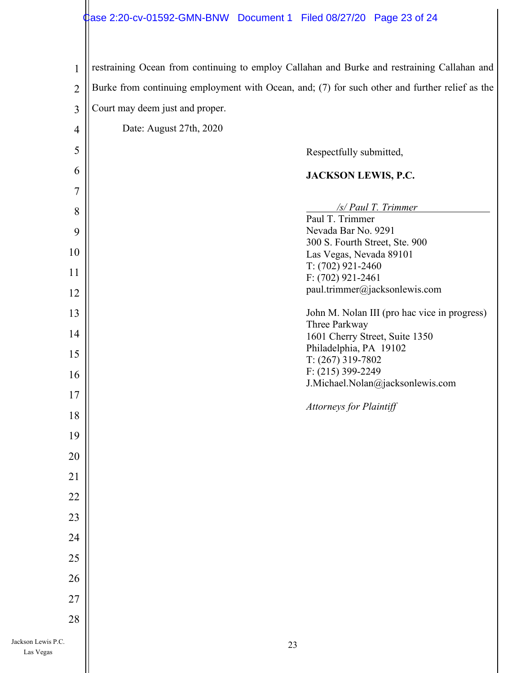# Case 2:20-cv-01592-GMN-BNW Document 1 Filed 08/27/20 Page 23 of 24

| $\mathbf{1}$       |                                 | restraining Ocean from continuing to employ Callahan and Burke and restraining Callahan and    |
|--------------------|---------------------------------|------------------------------------------------------------------------------------------------|
| $\overline{2}$     |                                 | Burke from continuing employment with Ocean, and; (7) for such other and further relief as the |
| $\overline{3}$     | Court may deem just and proper. |                                                                                                |
| $\overline{4}$     | Date: August 27th, 2020         |                                                                                                |
| 5                  |                                 | Respectfully submitted,                                                                        |
| 6                  |                                 | JACKSON LEWIS, P.C.                                                                            |
| 7                  |                                 |                                                                                                |
| 8                  |                                 | $/s$ / Paul T. Trimmer                                                                         |
| 9                  |                                 | Paul T. Trimmer<br>Nevada Bar No. 9291                                                         |
| 10                 |                                 | 300 S. Fourth Street, Ste. 900<br>Las Vegas, Nevada 89101                                      |
|                    |                                 | $T: (702)$ 921-2460                                                                            |
| 11                 |                                 | $F: (702)$ 921-2461                                                                            |
| 12                 |                                 | paul.trimmer@jacksonlewis.com                                                                  |
| 13                 |                                 | John M. Nolan III (pro hac vice in progress)<br>Three Parkway                                  |
| 14                 |                                 | 1601 Cherry Street, Suite 1350                                                                 |
| 15                 |                                 | Philadelphia, PA 19102<br>T: (267) 319-7802                                                    |
| 16                 |                                 | $F: (215)$ 399-2249                                                                            |
| 17                 |                                 | J.Michael.Nolan@jacksonlewis.com                                                               |
| 18                 |                                 | <b>Attorneys for Plaintiff</b>                                                                 |
| 19                 |                                 |                                                                                                |
| 20                 |                                 |                                                                                                |
| 21                 |                                 |                                                                                                |
| 22                 |                                 |                                                                                                |
|                    |                                 |                                                                                                |
| 23                 |                                 |                                                                                                |
| 24                 |                                 |                                                                                                |
| 25                 |                                 |                                                                                                |
| 26                 |                                 |                                                                                                |
| 27                 |                                 |                                                                                                |
| 28                 |                                 |                                                                                                |
| Jackson Lewis P.C. |                                 | 23                                                                                             |